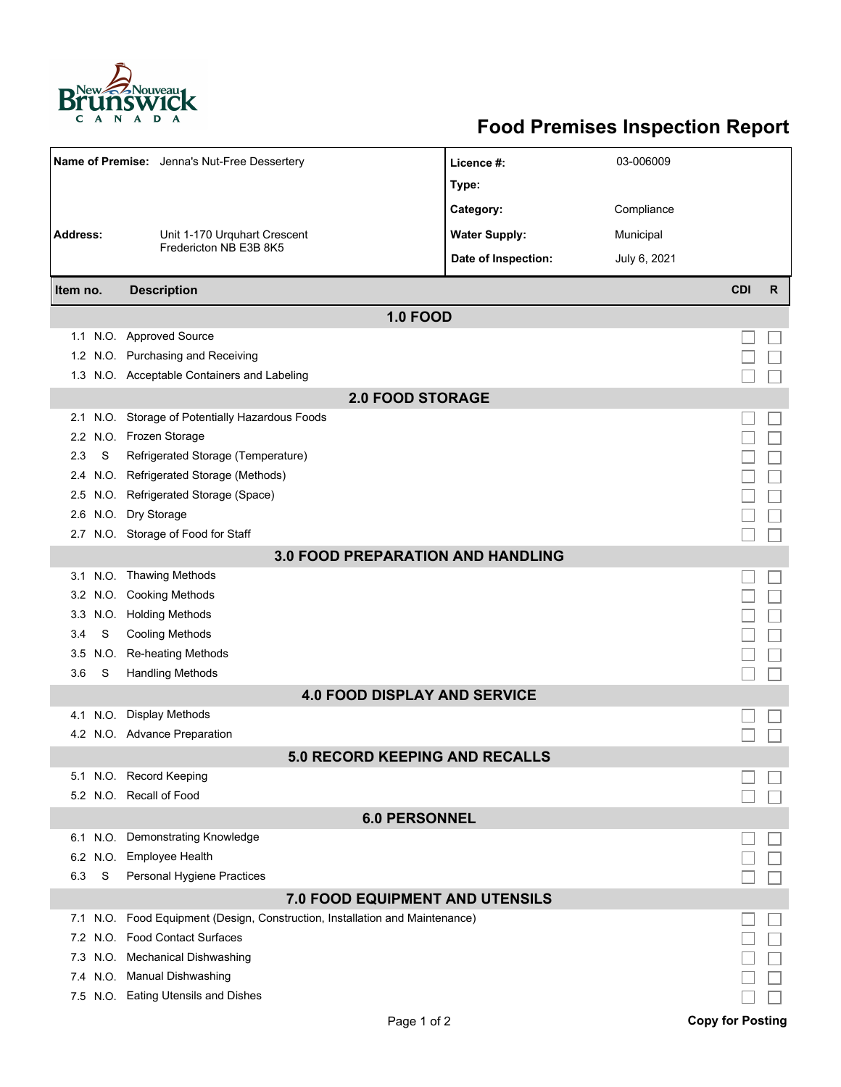

## **Food Premises Inspection Report**

| Name of Premise: Jenna's Nut-Free Dessertery                              |          |                                                                          | Licence #:           | 03-006009    |                         |              |  |  |
|---------------------------------------------------------------------------|----------|--------------------------------------------------------------------------|----------------------|--------------|-------------------------|--------------|--|--|
|                                                                           |          |                                                                          | Type:                |              |                         |              |  |  |
|                                                                           |          |                                                                          | Category:            | Compliance   |                         |              |  |  |
| <b>Address:</b><br>Unit 1-170 Urquhart Crescent<br>Fredericton NB E3B 8K5 |          |                                                                          | <b>Water Supply:</b> | Municipal    |                         |              |  |  |
|                                                                           |          |                                                                          | Date of Inspection:  | July 6, 2021 |                         |              |  |  |
|                                                                           |          |                                                                          |                      |              |                         |              |  |  |
| Item no.                                                                  |          | <b>Description</b>                                                       |                      |              | <b>CDI</b>              | $\mathsf{R}$ |  |  |
| <b>1.0 FOOD</b>                                                           |          |                                                                          |                      |              |                         |              |  |  |
|                                                                           |          | 1.1 N.O. Approved Source                                                 |                      |              |                         |              |  |  |
|                                                                           |          | 1.2 N.O. Purchasing and Receiving                                        |                      |              |                         |              |  |  |
|                                                                           |          | 1.3 N.O. Acceptable Containers and Labeling                              |                      |              |                         |              |  |  |
| <b>2.0 FOOD STORAGE</b>                                                   |          |                                                                          |                      |              |                         |              |  |  |
|                                                                           |          | 2.1 N.O. Storage of Potentially Hazardous Foods                          |                      |              |                         |              |  |  |
|                                                                           |          | 2.2 N.O. Frozen Storage                                                  |                      |              |                         |              |  |  |
| 2.3                                                                       | S        | Refrigerated Storage (Temperature)                                       |                      |              |                         |              |  |  |
| 2.4                                                                       |          | N.O. Refrigerated Storage (Methods)                                      |                      |              |                         |              |  |  |
|                                                                           |          | 2.5 N.O. Refrigerated Storage (Space)                                    |                      |              |                         |              |  |  |
|                                                                           |          | 2.6 N.O. Dry Storage                                                     |                      |              |                         |              |  |  |
|                                                                           |          | 2.7 N.O. Storage of Food for Staff                                       |                      |              |                         |              |  |  |
| <b>3.0 FOOD PREPARATION AND HANDLING</b>                                  |          |                                                                          |                      |              |                         |              |  |  |
|                                                                           |          | 3.1 N.O. Thawing Methods                                                 |                      |              |                         |              |  |  |
|                                                                           |          | 3.2 N.O. Cooking Methods                                                 |                      |              |                         |              |  |  |
| 3.3                                                                       |          | N.O. Holding Methods                                                     |                      |              |                         |              |  |  |
| 3.4                                                                       | S        | <b>Cooling Methods</b>                                                   |                      |              |                         |              |  |  |
| 3.5                                                                       | N.O.     | <b>Re-heating Methods</b>                                                |                      |              |                         |              |  |  |
| 3.6                                                                       | S        | <b>Handling Methods</b>                                                  |                      |              |                         |              |  |  |
| <b>4.0 FOOD DISPLAY AND SERVICE</b>                                       |          |                                                                          |                      |              |                         |              |  |  |
|                                                                           | 4.1 N.O. | <b>Display Methods</b>                                                   |                      |              |                         |              |  |  |
|                                                                           |          | 4.2 N.O. Advance Preparation                                             |                      |              |                         |              |  |  |
| <b>5.0 RECORD KEEPING AND RECALLS</b>                                     |          |                                                                          |                      |              |                         |              |  |  |
|                                                                           |          | 5.1 N.O. Record Keeping                                                  |                      |              |                         |              |  |  |
|                                                                           |          | 5.2 N.O. Recall of Food                                                  |                      |              |                         |              |  |  |
| <b>6.0 PERSONNEL</b>                                                      |          |                                                                          |                      |              |                         |              |  |  |
|                                                                           |          | 6.1 N.O. Demonstrating Knowledge                                         |                      |              |                         |              |  |  |
|                                                                           | 6.2 N.O. | <b>Employee Health</b>                                                   |                      |              |                         |              |  |  |
| 6.3                                                                       | S        | Personal Hygiene Practices                                               |                      |              |                         |              |  |  |
| <b>7.0 FOOD EQUIPMENT AND UTENSILS</b>                                    |          |                                                                          |                      |              |                         |              |  |  |
| 7.1                                                                       |          | N.O. Food Equipment (Design, Construction, Installation and Maintenance) |                      |              |                         |              |  |  |
|                                                                           |          | 7.2 N.O. Food Contact Surfaces                                           |                      |              |                         |              |  |  |
|                                                                           |          | 7.3 N.O. Mechanical Dishwashing                                          |                      |              |                         |              |  |  |
|                                                                           |          | 7.4 N.O. Manual Dishwashing                                              |                      |              |                         |              |  |  |
|                                                                           |          | 7.5 N.O. Eating Utensils and Dishes                                      |                      |              |                         |              |  |  |
|                                                                           |          | Page 1 of 2                                                              |                      |              | <b>Copy for Posting</b> |              |  |  |